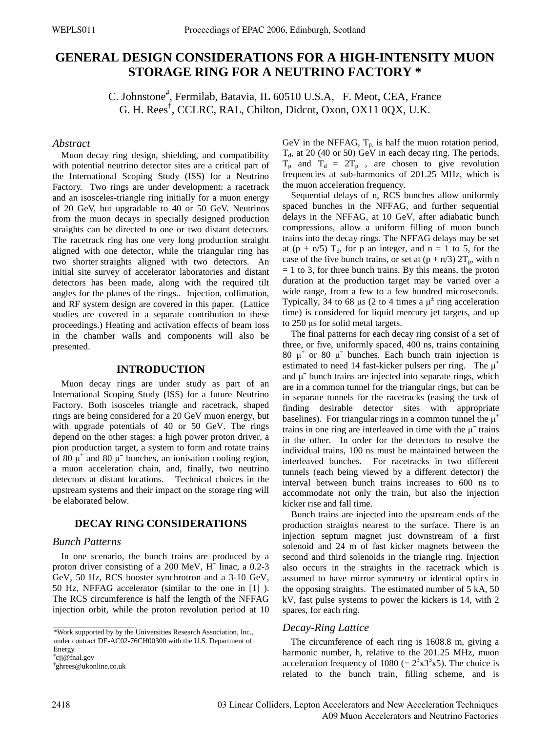# **GENERAL DESIGN CONSIDERATIONS FOR A HIGH-INTENSITY MUON STORAGE RING FOR A NEUTRINO FACTORY \***

C. Johnstone<sup>#</sup>, Fermilab, Batavia, IL 60510 U.S.A, F. Meot, CEA, France G. H. Rees† , CCLRC, RAL, Chilton, Didcot, Oxon, OX11 0QX, U.K.

#### *Abstract*

Muon decay ring design, shielding, and compatibility with potential neutrino detector sites are a critical part of the International Scoping Study (ISS) for a Neutrino Factory. Two rings are under development: a racetrack and an isosceles-triangle ring initially for a muon energy of 20 GeV, but upgradable to 40 or 50 GeV. Neutrinos from the muon decays in specially designed production straights can be directed to one or two distant detectors. The racetrack ring has one very long production straight aligned with one detector, while the triangular ring has two shorter straights aligned with two detectors. An initial site survey of accelerator laboratories and distant detectors has been made, along with the required tilt angles for the planes of the rings.. Injection, collimation, and RF system design are covered in this paper. (Lattice studies are covered in a separate contribution to these proceedings.) Heating and activation effects of beam loss in the chamber walls and components will also be presented.

## **INTRODUCTION**

Muon decay rings are under study as part of an International Scoping Study (ISS) for a future Neutrino Factory. Both isosceles triangle and racetrack, shaped rings are being considered for a 20 GeV muon energy, but with upgrade potentials of 40 or 50 GeV. The rings depend on the other stages: a high power proton driver, a pion production target, a system to form and rotate trains of 80  $\mu^+$  and 80  $\mu^-$  bunches, an ionisation cooling region, a muon acceleration chain, and, finally, two neutrino detectors at distant locations. Technical choices in the upstream systems and their impact on the storage ring will be elaborated below.

# **DECAY RING CONSIDERATIONS**

## *Bunch Patterns*

In one scenario, the bunch trains are produced by a proton driver consisting of a 200 MeV, H¯ linac, a 0.2-3 GeV, 50 Hz, RCS booster synchrotron and a 3-10 GeV, 50 Hz, NFFAG accelerator (similar to the one in [1] ). The RCS circumference is half the length of the NFFAG injection orbit, while the proton revolution period at 10

† ghrees@ukonline.co.uk

GeV in the NFFAG,  $T_{p}$  is half the muon rotation period,  $T<sub>d</sub>$ , at 20 (40 or 50) GeV in each decay ring. The periods,  $T_p$  and  $T_d = 2T_p$ , are chosen to give revolution frequencies at sub-harmonics of 201.25 MHz, which is the muon acceleration frequency.

Sequential delays of n, RCS bunches allow uniformly spaced bunches in the NFFAG, and further sequential delays in the NFFAG, at 10 GeV, after adiabatic bunch compressions, allow a uniform filling of muon bunch trains into the decay rings. The NFFAG delays may be set at (p + n/5)  $T_d$ , for p an integer, and n = 1 to 5, for the case of the five bunch trains, or set at  $(p + n/3) 2T_p$ , with n  $= 1$  to 3, for three bunch trains. By this means, the proton duration at the production target may be varied over a wide range, from a few to a few hundred microseconds. Typically, 34 to 68  $\mu$ s (2 to 4 times a  $\mu^{\pm}$  ring acceleration time) is considered for liquid mercury jet targets, and up to 250 μs for solid metal targets.

The final patterns for each decay ring consist of a set of three, or five, uniformly spaced, 400 ns, trains containing 80  $\mu^+$  or 80  $\mu^-$  bunches. Each bunch train injection is estimated to need 14 fast-kicker pulsers per ring. The  $\mu^+$ and  $\mu$ <sup>-</sup> bunch trains are injected into separate rings, which are in a common tunnel for the triangular rings, but can be in separate tunnels for the racetracks (easing the task of finding desirable detector sites with appropriate baselines). For triangular rings in a common tunnel the  $\mu^+$ trains in one ring are interleaved in time with the  $\mu$ <sup>-</sup> trains in the other. In order for the detectors to resolve the individual trains, 100 ns must be maintained between the interleaved bunches. For racetracks in two different tunnels (each being viewed by a different detector) the interval between bunch trains increases to 600 ns to accommodate not only the train, but also the injection kicker rise and fall time.

Bunch trains are injected into the upstream ends of the production straights nearest to the surface. There is an injection septum magnet just downstream of a first solenoid and 24 m of fast kicker magnets between the second and third solenoids in the triangle ring. Injection also occurs in the straights in the racetrack which is assumed to have mirror symmetry or identical optics in the opposing straights. The estimated number of 5 kA, 50 kV, fast pulse systems to power the kickers is 14, with 2 spares, for each ring.

#### *Decay-Ring Lattice*

The circumference of each ring is 1608.8 m, giving a harmonic number, h, relative to the 201.25 MHz, muon acceleration frequency of 1080 (=  $2^{3}x3^{3}x5$ ). The choice is related to the bunch train, filling scheme, and is

<sup>\*</sup>Work supported by by the Universities Research Association, Inc., under contract DE-AC02-76CH00300 with the U.S. Department of Energy. # cjj@fnal.gov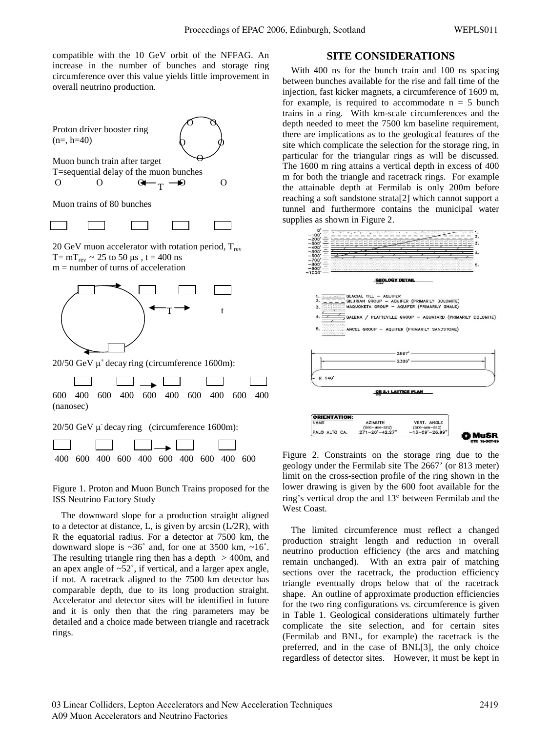compatible with the 10 GeV orbit of the NFFAG. An increase in the number of bunches and storage ring circumference over this value yields little improvement in overall neutrino production.

Proton driver booster ring  $(n=, h=40)$ 

 $\Omega$ O O



Muon trains of 80 bunches

20 GeV muon accelerator with rotation period,  $T_{rev}$ T=  $mT_{rev} \sim 25$  to 50 μs, t = 400 ns  $m =$  number of turns of acceleration



20/50 GeV  $\mu^+$  decay ring (circumference 1600m):

 $\Box$   $\longrightarrow$   $\Box$ 600 400 600 400 600 400 600 400 600 400 (nanosec) 20/50 GeV μ- decay ring (circumference 1600m):  $\overline{1}$ 

|  |  | — — — — — <del>—</del> |  |  |                                         |
|--|--|------------------------|--|--|-----------------------------------------|
|  |  |                        |  |  | 400 600 400 600 400 600 400 600 400 600 |

Figure 1. Proton and Muon Bunch Trains proposed for the ISS Neutrino Factory Study

The downward slope for a production straight aligned to a detector at distance, L, is given by arcsin  $(L/2R)$ , with R the equatorial radius. For a detector at 7500 km, the downward slope is  $\sim 36^\circ$  and, for one at 3500 km,  $\sim 16^\circ$ . The resulting triangle ring then has a depth  $> 400$ m, and an apex angle of  $\sim 52^\circ$ , if vertical, and a larger apex angle, if not. A racetrack aligned to the 7500 km detector has comparable depth, due to its long production straight. Accelerator and detector sites will be identified in future and it is only then that the ring parameters may be detailed and a choice made between triangle and racetrack rings.

#### **SITE CONSIDERATIONS**

With 400 ns for the bunch train and 100 ns spacing between bunches available for the rise and fall time of the injection, fast kicker magnets, a circumference of 1609 m, for example, is required to accommodate  $n = 5$  bunch trains in a ring. With km-scale circumferences and the depth needed to meet the 7500 km baseline requirement, there are implications as to the geological features of the site which complicate the selection for the storage ring, in particular for the triangular rings as will be discussed. The 1600 m ring attains a vertical depth in excess of 400 m for both the triangle and racetrack rings. For example the attainable depth at Fermilab is only 200m before reaching a soft sandstone strata[2] which cannot support a tunnel and furthermore contains the municipal water supplies as shown in Figure 2.



Figure 2. Constraints on the storage ring due to the geology under the Fermilab site The 2667' (or 813 meter) limit on the cross-section profile of the ring shown in the lower drawing is given by the 600 foot available for the ring's vertical drop the and 13° between Fermilab and the West Coast.

The limited circumference must reflect a changed production straight length and reduction in overall neutrino production efficiency (the arcs and matching remain unchanged). With an extra pair of matching sections over the racetrack, the production efficiency triangle eventually drops below that of the racetrack shape. An outline of approximate production efficiencies for the two ring configurations vs. circumference is given in Table 1. Geological considerations ultimately further complicate the site selection, and for certain sites (Fermilab and BNL, for example) the racetrack is the preferred, and in the case of BNL[3], the only choice regardless of detector sites. However, it must be kept in